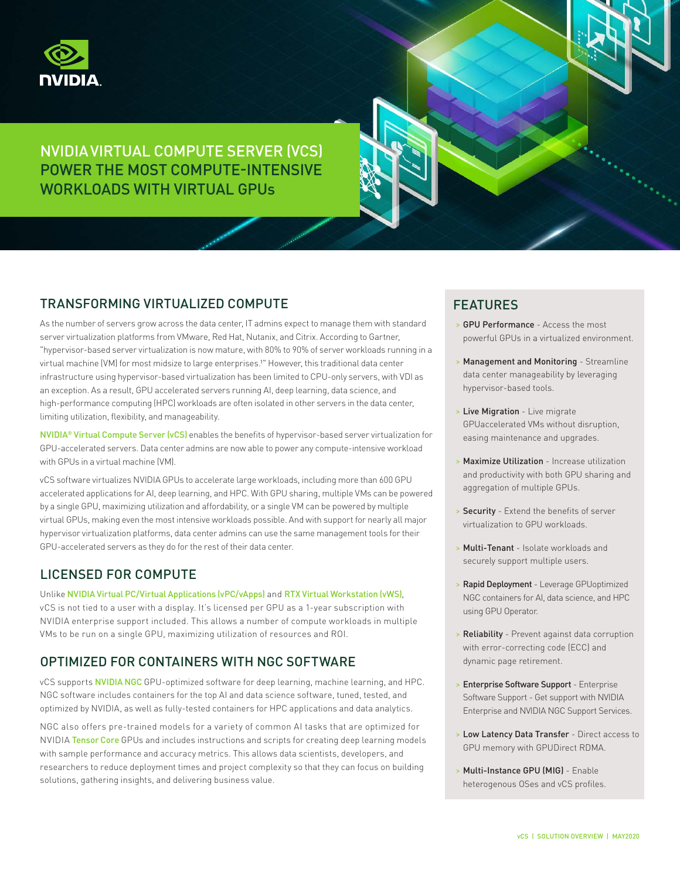

# NVIDIA VIRTUAL COMPUTE SERVER (VCS) POWER THE MOST COMPUTE-INTENSIVE WORKLOADS WITH VIRTUAL GPUs

### TRANSFORMING VIRTUALIZED COMPUTE

As the number of servers grow across the data center, IT admins expect to manage them with standard server virtualization platforms from VMware, Red Hat, Nutanix, and Citrix. According to Gartner, "hypervisor-based server virtualization is now mature, with 80% to 90% of server workloads running in a virtual machine (VM) for most midsize to large enterprises.<sup>1"</sup> However, this traditional data center infrastructure using hypervisor-based virtualization has been limited to CPU-only servers, with VDI as an exception. As a result, GPU accelerated servers running AI, deep learning, data science, and high-performance computing (HPC) workloads are often isolated in other servers in the data center, limiting utilization, flexibility, and manageability.

NVIDIA® [Virtual Compute Server \(vCS\)](https://www.nvidia.com/en-us/data-center/virtual-compute-server/) enables the benefits of hypervisor-based server virtualization for GPU-accelerated servers. Data center admins are now able to power any compute-intensive workload with GPUs in a virtual machine (VM).

vCS software virtualizes NVIDIA GPUs to accelerate large workloads, including more than 600 GPU accelerated applications for AI, deep learning, and HPC. With GPU sharing, multiple VMs can be powered by a single GPU, maximizing utilization and affordability, or a single VM can be powered by multiple virtual GPUs, making even the most intensive workloads possible. And with support for nearly all major hypervisor virtualization platforms, data center admins can use the same management tools for their GPU-accelerated servers as they do for the rest of their data center.

### LICENSED FOR COMPUTE

Unlike [NVIDIA Virtual PC/Virtual Applications \(vPC/vApps\)](https://www.nvidia.com/en-us/data-center/virtual-pc-apps/) and [RTX Virtual Workstation \(vWS\)](https://www.nvidia.com/en-us/design-visualization/quadro-vdws/), vCS is not tied to a user with a display. It's licensed per GPU as a 1-year subscription with NVIDIA enterprise support included. This allows a number of compute workloads in multiple VMs to be run on a single GPU, maximizing utilization of resources and ROI.

### OPTIMIZED FOR CONTAINERS WITH NGC SOFTWARE

vCS supports [NVIDIA NGC](https://ngc.nvidia.com/catalog/landing) GPU-optimized software for deep learning, machine learning, and HPC. NGC software includes containers for the top AI and data science software, tuned, tested, and optimized by NVIDIA, as well as fully-tested containers for HPC applications and data analytics.

NGC also offers pre-trained models for a variety of common AI tasks that are optimized for NVIDIA [Tensor Core](https://www.nvidia.com/en-us/data-center/tensorcore/) GPUs and includes instructions and scripts for creating deep learning models with sample performance and accuracy metrics. This allows data scientists, developers, and researchers to reduce deployment times and project complexity so that they can focus on building solutions, gathering insights, and delivering business value.

## FEATURES

- > GPU Performance Access the most powerful GPUs in a virtualized environment.
- > Management and Monitoring Streamline data center manageability by leveraging hypervisor-based tools.
- > Live Migration Live migrate GPUaccelerated VMs without disruption, easing maintenance and upgrades.
- > Maximize Utilization Increase utilization and productivity with both GPU sharing and aggregation of multiple GPUs.
- > Security Extend the benefits of server virtualization to GPU workloads.
- > Multi-Tenant Isolate workloads and securely support multiple users.
- > Rapid Deployment Leverage GPUoptimized NGC containers for AI, data science, and HPC using GPU Operator.
- > Reliability Prevent against data corruption with error-correcting code (ECC) and dynamic page retirement.
- > Enterprise Software Support Enterprise Software Support - Get support with NVIDIA Enterprise and NVIDIA NGC Support Services.
- > Low Latency Data Transfer Direct access to GPU memory with GPUDirect RDMA.
- > Multi-Instance GPU (MIG) Enable heterogenous OSes and vCS profiles.